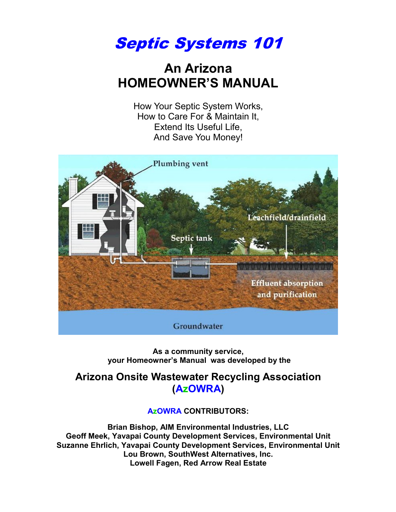Septic Systems 101

# **An Arizona HOMEOWNER'S MANUAL**

How Your Septic System Works, How to Care For & Maintain It, Extend Its Useful Life, And Save You Money!



**As a community service, your Homeowner's Manual was developed by the** 

## **Arizona Onsite Wastewater Recycling Association (AzOWRA)**

#### **AzOWRA CONTRIBUTORS:**

**Brian Bishop, AIM Environmental Industries, LLC Geoff Meek, Yavapai County Development Services, Environmental Unit Suzanne Ehrlich, Yavapai County Development Services, Environmental Unit Lou Brown, SouthWest Alternatives, Inc. Lowell Fagen, Red Arrow Real Estate**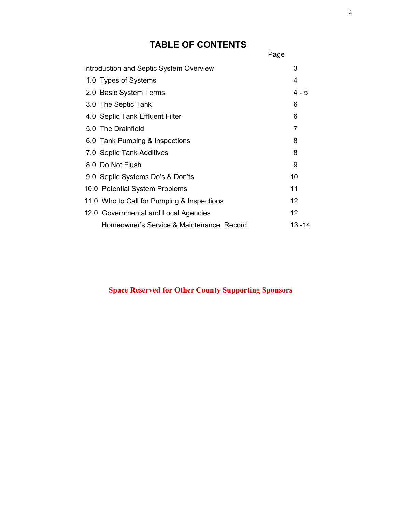# **TABLE OF CONTENTS**

|                                         |                                            | Page    |
|-----------------------------------------|--------------------------------------------|---------|
| Introduction and Septic System Overview | 3                                          |         |
|                                         | 1.0 Types of Systems                       | 4       |
|                                         | 2.0 Basic System Terms                     | $4 - 5$ |
|                                         | 3.0 The Septic Tank                        | 6       |
|                                         | 4.0 Septic Tank Effluent Filter            | 6       |
|                                         | 5.0 The Drainfield                         | 7       |
|                                         | 6.0 Tank Pumping & Inspections             | 8       |
|                                         | 7.0 Septic Tank Additives                  | 8       |
|                                         | 8.0 Do Not Flush                           | 9       |
|                                         | 9.0 Septic Systems Do's & Don'ts           | 10      |
|                                         | 10.0 Potential System Problems             | 11      |
|                                         | 11.0 Who to Call for Pumping & Inspections | 12      |
|                                         | 12.0 Governmental and Local Agencies       | 12      |
|                                         | Homeowner's Service & Maintenance Record   | 13 - 14 |

### **Space Reserved for Other County Supporting Sponsors**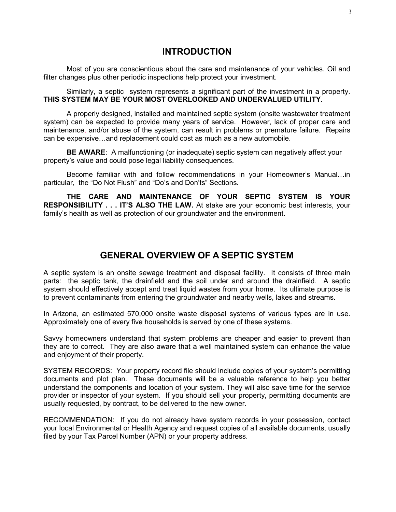#### **INTRODUCTION**

Most of you are conscientious about the care and maintenance of your vehicles. Oil and filter changes plus other periodic inspections help protect your investment.

Similarly, a septic system represents a significant part of the investment in a property. **THIS SYSTEM MAY BE YOUR MOST OVERLOOKED AND UNDERVALUED UTILITY.**

A properly designed, installed and maintained septic system (onsite wastewater treatment system) can be expected to provide many years of service. However, lack of proper care and maintenance, and/or abuse of the system, can result in problems or premature failure. Repairs can be expensive…and replacement could cost as much as a new automobile.

**BE AWARE**: A malfunctioning (or inadequate) septic system can negatively affect your property's value and could pose legal liability consequences.

Become familiar with and follow recommendations in your Homeowner's Manual…in particular, the "Do Not Flush" and "Do's and Don'ts" Sections.

**THE CARE AND MAINTENANCE OF YOUR SEPTIC SYSTEM IS YOUR RESPONSIBILITY . . . IT'S ALSO THE LAW.** At stake are your economic best interests, your family's health as well as protection of our groundwater and the environment.

## **GENERAL OVERVIEW OF A SEPTIC SYSTEM**

A septic system is an onsite sewage treatment and disposal facility. It consists of three main parts: the septic tank, the drainfield and the soil under and around the drainfield. A septic system should effectively accept and treat liquid wastes from your home. Its ultimate purpose is to prevent contaminants from entering the groundwater and nearby wells, lakes and streams.

In Arizona, an estimated 570,000 onsite waste disposal systems of various types are in use. Approximately one of every five households is served by one of these systems.

Savvy homeowners understand that system problems are cheaper and easier to prevent than they are to correct. They are also aware that a well maintained system can enhance the value and enjoyment of their property.

SYSTEM RECORDS: Your property record file should include copies of your system's permitting documents and plot plan. These documents will be a valuable reference to help you better understand the components and location of your system. They will also save time for the service provider or inspector of your system. If you should sell your property, permitting documents are usually requested, by contract, to be delivered to the new owner.

RECOMMENDATION: If you do not already have system records in your possession, contact your local Environmental or Health Agency and request copies of all available documents, usually filed by your Tax Parcel Number (APN) or your property address.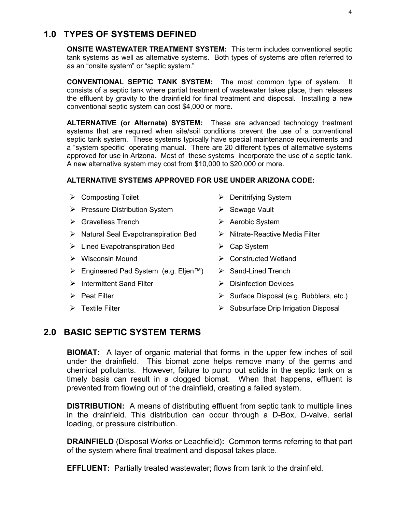## **1.0 TYPES OF SYSTEMS DEFINED**

**ONSITE WASTEWATER TREATMENT SYSTEM:** This term includes conventional septic tank systems as well as alternative systems. Both types of systems are often referred to as an "onsite system" or "septic system."

**CONVENTIONAL SEPTIC TANK SYSTEM:** The most common type of system. It consists of a septic tank where partial treatment of wastewater takes place, then releases the effluent by gravity to the drainfield for final treatment and disposal. Installing a new conventional septic system can cost \$4,000 or more.

**ALTERNATIVE (or Alternate) SYSTEM:** These are advanced technology treatment systems that are required when site/soil conditions prevent the use of a conventional septic tank system. These systems typically have special maintenance requirements and a "system specific" operating manual. There are 20 different types of alternative systems approved for use in Arizona. Most of these systems incorporate the use of a septic tank. A new alternative system may cost from \$10,000 to \$20,000 or more.

#### **ALTERNATIVE SYSTEMS APPROVED FOR USE UNDER ARIZONA CODE:**

|   | $\triangleright$ Composting Toilet                                 | $\triangleright$ Denitrifying System           |  |
|---|--------------------------------------------------------------------|------------------------------------------------|--|
|   | $\triangleright$ Pressure Distribution System                      | Sewage Vault<br>➤                              |  |
|   | $\triangleright$ Gravelless Trench                                 | $\triangleright$ Aerobic System                |  |
|   | $\triangleright$ Natural Seal Evapotranspiration Bed               | $\triangleright$ Nitrate-Reactive Media Filter |  |
|   | $\triangleright$ Lined Evapotranspiration Bed                      | Cap System                                     |  |
| ➤ | Wisconsin Mound                                                    | <b>Constructed Wetland</b>                     |  |
|   | $\triangleright$ Engineered Pad System (e.g. Eljen <sup>TM</sup> ) | Sand-Lined Trench<br>➤                         |  |
|   | $\triangleright$ Intermittent Sand Filter                          | <b>Disinfection Devices</b>                    |  |
|   | $\triangleright$ Peat Filter                                       | Surface Disposal (e.g. Bubblers, etc.)         |  |

- 
- ▶ Textile Filter Subsurface Drip Irrigation Disposal

#### **2.0 BASIC SEPTIC SYSTEM TERMS**

**BIOMAT:** A layer of organic material that forms in the upper few inches of soil under the drainfield. This biomat zone helps remove many of the germs and chemical pollutants. However, failure to pump out solids in the septic tank on a timely basis can result in a clogged biomat. When that happens, effluent is prevented from flowing out of the drainfield, creating a failed system.

**DISTRIBUTION:** A means of distributing effluent from septic tank to multiple lines in the drainfield. This distribution can occur through a D-Box, D-valve, serial loading, or pressure distribution.

**DRAINFIELD** (Disposal Works or Leachfield)**:** Common terms referring to that part of the system where final treatment and disposal takes place.

**EFFLUENT:** Partially treated wastewater; flows from tank to the drainfield.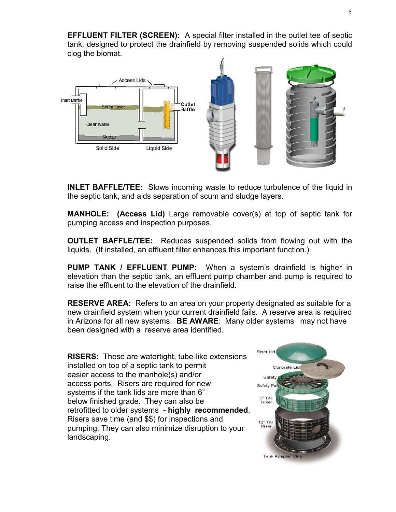**EFFLUENT FILTER (SCREEN):** A special filter installed in the outlet tee of septic tank, designed to protect the drainfield by removing suspended solids which could clog the biomat.



**INLET BAFFLE/TEE:** Slows incoming waste to reduce turbulence of the liquid in the septic tank, and aids separation of scum and sludge layers.

**MANHOLE: (Access Lid)** Large removable cover(s) at top of septic tank for pumping access and inspection purposes.

**OUTLET BAFFLE/TEE:** Reduces suspended solids from flowing out with the liquids. (If installed, an effluent filter enhances this important function.)

**PUMP TANK / EFFLUENT PUMP:** When a system's drainfield is higher in elevation than the septic tank, an effluent pump chamber and pump is required to raise the effluent to the elevation of the drainfield.

**RESERVE AREA:** Refers to an area on your property designated as suitable for a new drainfield system when your current drainfield fails. A reserve area is required in Arizona for all new systems. **BE AWARE**: Many older systems may not have been designed with a reserve area identified.

**RISERS:** These are watertight, tube-like extensions installed on top of a septic tank to permit easier access to the manhole(s) and/or access ports. Risers are required for new systems if the tank lids are more than 6" below finished grade. They can also be retrofitted to older systems - **highly recommended**. Risers save time (and \$\$) for inspections and pumping. They can also minimize disruption to your landscaping.

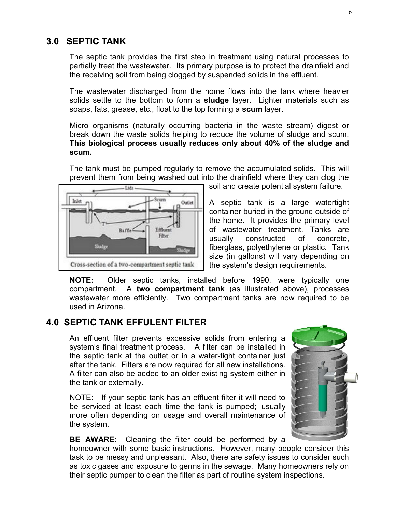#### **3.0 SEPTIC TANK**

The septic tank provides the first step in treatment using natural processes to partially treat the wastewater. Its primary purpose is to protect the drainfield and the receiving soil from being clogged by suspended solids in the effluent.

The wastewater discharged from the home flows into the tank where heavier solids settle to the bottom to form a **sludge** layer. Lighter materials such as soaps, fats, grease, etc., float to the top forming a **scum** layer.

Micro organisms (naturally occurring bacteria in the waste stream) digest or break down the waste solids helping to reduce the volume of sludge and scum. **This biological process usually reduces only about 40% of the sludge and scum.** 

The tank must be pumped regularly to remove the accumulated solids. This will prevent them from being washed out into the drainfield where they can clog the



soil and create potential system failure.

A septic tank is a large watertight container buried in the ground outside of the home. It provides the primary level of wastewater treatment. Tanks are usually constructed of concrete, fiberglass, polyethylene or plastic. Tank size (in gallons) will vary depending on the system's design requirements.

**NOTE:** Older septic tanks, installed before 1990, were typically one compartment. A **two compartment tank** (as illustrated above), processes wastewater more efficiently. Two compartment tanks are now required to be used in Arizona.

## **4.0 SEPTIC TANK EFFULENT FILTER**

An effluent filter prevents excessive solids from entering a system's final treatment process. A filter can be installed in the septic tank at the outlet or in a water-tight container just after the tank. Filters are now required for all new installations. A filter can also be added to an older existing system either in the tank or externally.

NOTE: If your septic tank has an effluent filter it will need to be serviced at least each time the tank is pumped**;** usually more often depending on usage and overall maintenance of the system.



**BE AWARE:** Cleaning the filter could be performed by a

homeowner with some basic instructions. However, many people consider this task to be messy and unpleasant. Also, there are safety issues to consider such as toxic gases and exposure to germs in the sewage. Many homeowners rely on their septic pumper to clean the filter as part of routine system inspections.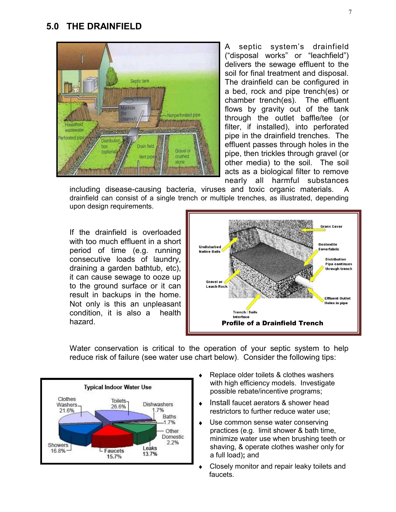#### **5.0 THE DRAINFIELD**



A septic system's drainfield ("disposal works" or "leachfield") delivers the sewage effluent to the soil for final treatment and disposal. The drainfield can be configured in a bed, rock and pipe trench(es) or chamber trench(es). The effluent flows by gravity out of the tank through the outlet baffle/tee (or filter, if installed), into perforated pipe in the drainfield trenches. The effluent passes through holes in the pipe, then trickles through gravel (or other media) to the soil. The soil acts as a biological filter to remove nearly all harmful substances

including disease-causing bacteria, viruses and toxic organic materials. A drainfield can consist of a single trench or multiple trenches, as illustrated, depending upon design requirements.

If the drainfield is overloaded with too much effluent in a short period of time (e.g. running consecutive loads of laundry, draining a garden bathtub, etc), it can cause sewage to ooze up to the ground surface or it can result in backups in the home. Not only is this an unpleasant condition, it is also a health hazard.



Water conservation is critical to the operation of your septic system to help reduce risk of failure (see water use chart below).Consider the following tips:



- Replace older toilets & clothes washers with high efficiency models. Investigate possible rebate/incentive programs;
- Install faucet aerators & shower head restrictors to further reduce water use;
- Use common sense water conserving  $\bullet$  practices (e.g. limit shower & bath time, minimize water use when brushing teeth or shaving, & operate clothes washer only for a full load)**;** and
- Closely monitor and repair leaky toilets and ¢ faucets.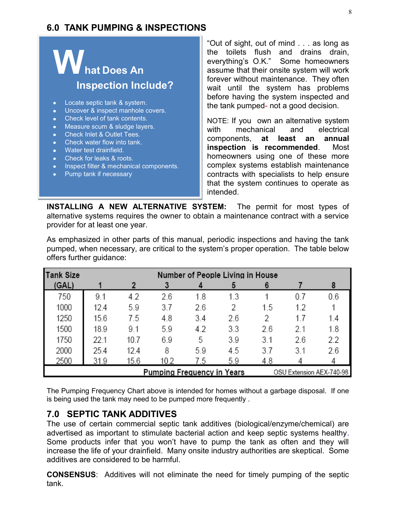## **6.0 TANK PUMPING & INSPECTIONS**

# **hat Does An Inspection Include?**

- Locate septic tank & system.
- Uncover & inspect manhole covers.
- Check level of tank contents.
- Measure scum & sludge layers.
- Check Inlet & Outlet Tees.
- Check water flow into tank.
- Water test drainfield.
- Check for leaks & roots.
- Inspect filter & mechanical components.
- Pump tank if necessary

"Out of sight, out of mind . . . as long as the toilets flush and drains drain, everything's O.K." Some homeowners assume that their onsite system will work forever without maintenance. They often wait until the system has problems before having the system inspected and the tank pumped- not a good decision.

NOTE: If you own an alternative system with mechanical and electrical components, **at least an annual inspection is recommended**. Most homeowners using one of these more complex systems establish maintenance contracts with specialists to help ensure that the system continues to operate as intended.

**INSTALLING A NEW ALTERNATIVE SYSTEM:** The permit for most types of alternative systems requires the owner to obtain a maintenance contract with a service provider for at least one year.

As emphasized in other parts of this manual, periodic inspections and having the tank pumped, when necessary, are critical to the system's proper operation. The table below offers further guidance:

| <b>Tank Size</b>                                              | Number of People Living in House |      |      |     |     |     |     |     |
|---------------------------------------------------------------|----------------------------------|------|------|-----|-----|-----|-----|-----|
| (GAL)                                                         |                                  |      |      |     | 5   |     |     | 8   |
| 750                                                           | 9.1                              | 4.2  | 2.6  | 1.8 | 1.3 |     | 0.7 | 0.6 |
| 1000                                                          | 12.4                             | 5.9  | 3.7  | 2.6 | 2   | 1.5 | 1.2 |     |
| 1250                                                          | 15.6                             | 7.5  | 4.8  | 3.4 | 2.6 | 2   | 17  | 1.4 |
| 1500                                                          | 18.9                             | 9.1  | 5.9  | 4.2 | 3.3 | 2.6 | 2.1 | 1.8 |
| 1750                                                          | 22.1                             | 10.7 | 6.9  | 5   | 3.9 | 3.1 | 2.6 | 2.2 |
| 2000                                                          | 25.4                             | 12.4 | 8    | 5.9 | 4.5 | 3.7 | 3.1 | 2.6 |
| 2500                                                          | 31.9                             | 15.6 | 10.2 | 7.5 | 5.9 | 4.8 |     |     |
| <b>Pumping Frequency in Years</b><br>OSU Extension AEX-740-98 |                                  |      |      |     |     |     |     |     |

The Pumping Frequency Chart above is intended for homes without a garbage disposal. If one is being used the tank may need to be pumped more frequently .

## **7.0 SEPTIC TANK ADDITIVES**

The use of certain commercial septic tank additives (biological/enzyme/chemical) are advertised as important to stimulate bacterial action and keep septic systems healthy. Some products infer that you won't have to pump the tank as often and they will increase the life of your drainfield. Many onsite industry authorities are skeptical. Some additives are considered to be harmful.

**CONSENSUS**: Additives will not eliminate the need for timely pumping of the septic tank.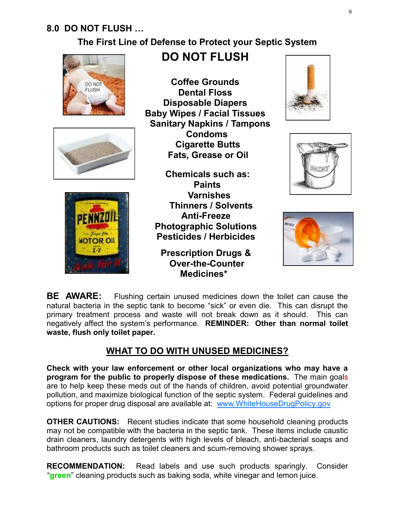## **8.0 DO NOT FLUSH …**

## **The First Line of Defense to Protect your Septic System**







## **DO NOT FLUSH**

**Coffee Grounds Dental Floss Disposable Diapers Baby Wipes / Facial Tissues Sanitary Napkins / Tampons Condoms Cigarette Butts Fats, Grease or Oil**

**Chemicals such as: Paints Varnishes Thinners / Solvents Anti-Freeze Photographic Solutions Pesticides / Herbicides**

**Prescription Drugs & Over-the-Counter Medicines\***







**BE AWARE:** Flushing certain unused medicines down the toilet can cause the natural bacteria in the septic tank to become "sick" or even die. This can disrupt the primary treatment process and waste will not break down as it should. This can negatively affect the system's performance. **REMINDER: Other than normal toilet waste, flush only toilet paper.**

## **WHAT TO DO WITH UNUSED MEDICINES?**

**Check with your law enforcement or other local organizations who may have a program for the public to properly dispose of these medications.** The main goals are to help keep these meds out of the hands of children, avoid potential groundwater pollution, and maximize biological function of the septic system. Federal guidelines and options for proper drug disposal are available at: www.WhiteHouseDrugPolicy.gov

**OTHER CAUTIONS:** Recent studies indicate that some household cleaning products may not be compatible with the bacteria in the septic tank. These items include caustic drain cleaners, laundry detergents with high levels of bleach, anti-bacterial soaps and bathroom products such as toilet cleaners and scum-removing shower sprays.

**RECOMMENDATION:** Read labels and use such products sparingly. Consider "**green**" cleaning products such as baking soda, white vinegar and lemon juice.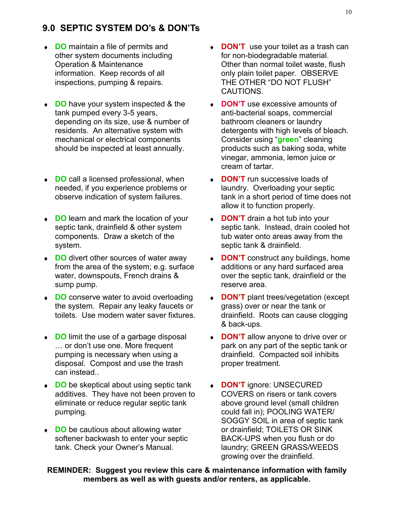## **9.0 SEPTIC SYSTEM DO's & DON'Ts**

- ◆ **DO** maintain a file of permits and other system documents including Operation & Maintenance information. Keep records of all inspections, pumping & repairs.
- **DO** have your system inspected & the tank pumped every 3-5 years, depending on its size, use & number of residents. An alternative system with mechanical or electrical components should be inspected at least annually.
- ◆ **DO** call a licensed professional, when needed, if you experience problems or observe indication of system failures.
- ◆ **DO** learn and mark the location of your septic tank, drainfield & other system components. Draw a sketch of the system.
- ◆ **DO** divert other sources of water away from the area of the system; e.g. surface water, downspouts, French drains & sump pump.
- ◆ **DO** conserve water to avoid overloading the system. Repair any leaky faucets or toilets. Use modern water saver fixtures.
- ◆ **DO** limit the use of a garbage disposal … or don't use one. More frequent pumping is necessary when using a disposal. Compost and use the trash can instead..
- ◆ **DO** be skeptical about using septic tank additives. They have not been proven to eliminate or reduce regular septic tank pumping.
- ◆ **DO** be cautious about allowing water softener backwash to enter your septic tank. Check your Owner's Manual.
- **DON'T** use your toilet as a trash can for non-biodegradable material. Other than normal toilet waste, flush only plain toilet paper. OBSERVE THE OTHER "DO NOT FLUSH" CAUTIONS.
- **DON'T** use excessive amounts of anti-bacterial soaps, commercial bathroom cleaners or laundry detergents with high levels of bleach. Consider using "**green**" cleaning products such as baking soda, white vinegar, ammonia, lemon juice or cream of tartar.
- **DON'T** run successive loads of laundry. Overloading your septic tank in a short period of time does not allow it to function properly.
- **DON'T** drain a hot tub into your septic tank. Instead, drain cooled hot tub water onto areas away from the septic tank & drainfield.
- **DON'T** construct any buildings, home  $\bullet$ additions or any hard surfaced area over the septic tank, drainfield or the reserve area.
- $\bullet$ **DON'T** plant trees/vegetation (except grass) over or near the tank or drainfield. Roots can cause clogging & back-ups.
- **DON'T** allow anyone to drive over or park on any part of the septic tank or drainfield. Compacted soil inhibits proper treatment.
- **DON'T** ignore: UNSECURED COVERS on risers or tank covers above ground level (small children could fall in); POOLING WATER/ SOGGY SOIL in area of septic tank or drainfield; TOILETS OR SINK BACK-UPS when you flush or do laundry; GREEN GRASS/WEEDS growing over the drainfield.

**REMINDER: Suggest you review this care & maintenance information with family members as well as with guests and/or renters, as applicable.**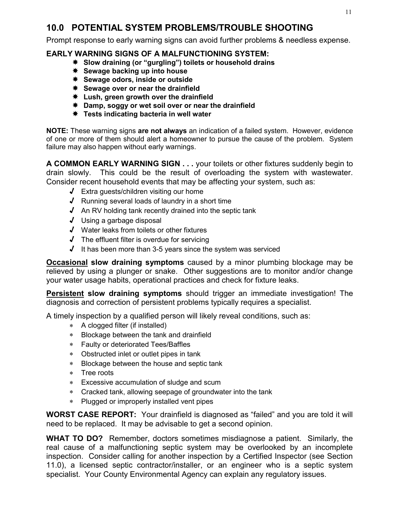## **10.0 POTENTIAL SYSTEM PROBLEMS/TROUBLE SHOOTING**

Prompt response to early warning signs can avoid further problems & needless expense.

#### **EARLY WARNING SIGNS OF A MALFUNCTIONING SYSTEM:**

- **Slow draining (or "gurgling") toilets or household drains**
- **Sewage backing up into house**
- **Sewage odors, inside or outside**
- **Sewage over or near the drainfield**
- **Lush, green growth over the drainfield**
- **Damp, soggy or wet soil over or near the drainfield**
- **Tests indicating bacteria in well water**

**NOTE:** These warning signs **are not always** an indication of a failed system. However, evidence of one or more of them should alert a homeowner to pursue the cause of the problem. System failure may also happen without early warnings.

**A COMMON EARLY WARNING SIGN . . .** your toilets or other fixtures suddenly begin to drain slowly. This could be the result of overloading the system with wastewater. Consider recent household events that may be affecting your system, such as:

- √ Extra guests/children visiting our home
- √ Running several loads of laundry in a short time
- √ An RV holding tank recently drained into the septic tank
- √ Using a garbage disposal
- √ Water leaks from toilets or other fixtures
- √ The effluent filter is overdue for servicing
- √ It has been more than 3-5 years since the system was serviced

**Occasional slow draining symptoms** caused by a minor plumbing blockage may be relieved by using a plunger or snake. Other suggestions are to monitor and/or change your water usage habits, operational practices and check for fixture leaks.

**Persistent slow draining symptoms** should trigger an immediate investigation! The diagnosis and correction of persistent problems typically requires a specialist.

A timely inspection by a qualified person will likely reveal conditions, such as:

- A clogged filter (if installed)
- Blockage between the tank and drainfield
- Faulty or deteriorated Tees/Baffles
- Obstructed inlet or outlet pipes in tank
- Blockage between the house and septic tank
- \* Tree roots
- Excessive accumulation of sludge and scum
- Cracked tank, allowing seepage of groundwater into the tank
- Plugged or improperly installed vent pipes

**WORST CASE REPORT:** Your drainfield is diagnosed as "failed" and you are told it will need to be replaced. It may be advisable to get a second opinion.

**WHAT TO DO?** Remember, doctors sometimes misdiagnose a patient. Similarly, the real cause of a malfunctioning septic system may be overlooked by an incomplete inspection. Consider calling for another inspection by a Certified Inspector (see Section 11.0), a licensed septic contractor/installer, or an engineer who is a septic system specialist. Your County Environmental Agency can explain any regulatory issues.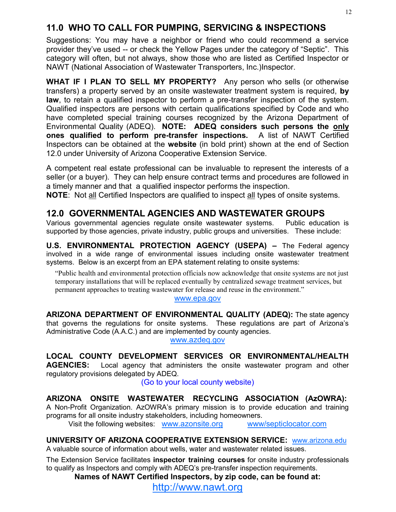## **11.0 WHO TO CALL FOR PUMPING, SERVICING & INSPECTIONS**

Suggestions: You may have a neighbor or friend who could recommend a service provider they've used -- or check the Yellow Pages under the category of "Septic". This category will often, but not always, show those who are listed as Certified Inspector or NAWT (National Association of Wastewater Transporters, Inc.)Inspector.

**WHAT IF I PLAN TO SELL MY PROPERTY?** Any person who sells (or otherwise transfers) a property served by an onsite wastewater treatment system is required, **by law**, to retain a qualified inspector to perform a pre-transfer inspection of the system. Qualified inspectors are persons with certain qualifications specified by Code and who have completed special training courses recognized by the Arizona Department of Environmental Quality (ADEQ). **NOTE: ADEQ considers such persons the only ones qualified to perform pre-transfer inspections.** A list of NAWT Certified Inspectors can be obtained at the **website** (in bold print) shown at the end of Section 12.0 under University of Arizona Cooperative Extension Service.

A competent real estate professional can be invaluable to represent the interests of a seller (or a buyer). They can help ensure contract terms and procedures are followed in a timely manner and that a qualified inspector performs the inspection.

**NOTE**: Not all Certified Inspectors are qualified to inspect all types of onsite systems.

## **12.0 GOVERNMENTAL AGENCIES AND WASTEWATER GROUPS**

Various governmental agencies regulate onsite wastewater systems. Public education is supported by those agencies, private industry, public groups and universities. These include:

**U.S. ENVIRONMENTAL PROTECTION AGENCY (USEPA) - The Federal agency** involved in a wide range of environmental issues including onsite wastewater treatment systems. Below is an excerpt from an EPA statement relating to onsite systems:

"Public health and environmental protection officials now acknowledge that onsite systems are not just temporary installations that will be replaced eventually by centralized sewage treatment services, but permanent approaches to treating wastewater for release and reuse in the environment."

#### www.epa.gov

**ARIZONA DEPARTMENT OF ENVIRONMENTAL QUALITY (ADEQ):** The state agency that governs the regulations for onsite systems. These regulations are part of Arizona's Administrative Code (A.A.C.) and are implemented by county agencies.

www.azdeq.gov

**LOCAL COUNTY DEVELOPMENT SERVICES OR ENVIRONMENTAL/HEALTH** 

**AGENCIES:** Local agency that administers the onsite wastewater program and other regulatory provisions delegated by ADEQ.

(Go to your local county website)

**ARIZONA ONSITE WASTEWATER RECYCLING ASSOCIATION (AzOWRA):**

A Non-Profit Organization. AzOWRA's primary mission is to provide education and training programs for all onsite industry stakeholders, including homeowners.

Visit the following websites: [www.azonsite.org](http://www.azonsite.org/) www/septiclocator.com

**UNIVERSITY OF ARIZONA COOPERATIVE EXTENSION SERVICE:** www.arizona.edu A valuable source of information about wells, water and wastewater related issues.

The Extension Service facilitates **inspector training courses** for onsite industry professionals to qualify as Inspectors and comply with ADEQ's pre-transfer inspection requirements.

**Names of NAWT Certified Inspectors, by zip code, can be found at:**

http://www.nawt.org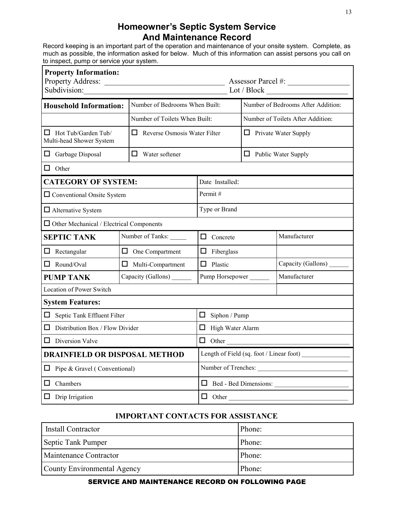## **Homeowner's Septic System Service And Maintenance Record**

Record keeping is an important part of the operation and maintenance of your onsite system. Complete, as much as possible, the information asked for below. Much of this information can assist persons you call on to inspect, pump or service your system.

| <b>Property Information:</b><br>Property Address:<br>Subdivision:                                | Lot / Block                                                     |                   |  |                                    |  |  |  |
|--------------------------------------------------------------------------------------------------|-----------------------------------------------------------------|-------------------|--|------------------------------------|--|--|--|
|                                                                                                  | Number of Bedrooms When Built:<br><b>Household Information:</b> |                   |  | Number of Bedrooms After Addition: |  |  |  |
|                                                                                                  | Number of Toilets When Built:                                   |                   |  | Number of Toilets After Addition:  |  |  |  |
| $\Box$ Hot Tub/Garden Tub/<br>$\Box$<br>Reverse Osmosis Water Filter<br>Multi-head Shower System |                                                                 |                   |  | $\Box$ Private Water Supply        |  |  |  |
| $\Box$ Garbage Disposal                                                                          | ப<br>Water softener                                             |                   |  | $\Box$ Public Water Supply         |  |  |  |
| $\Box$ Other                                                                                     |                                                                 |                   |  |                                    |  |  |  |
| <b>CATEGORY OF SYSTEM:</b>                                                                       |                                                                 | Date Installed:   |  |                                    |  |  |  |
| $\Box$ Conventional Onsite System                                                                |                                                                 | Permit#           |  |                                    |  |  |  |
| $\Box$ Alternative System                                                                        |                                                                 | Type or Brand     |  |                                    |  |  |  |
| $\Box$ Other Mechanical / Electrical Components                                                  |                                                                 |                   |  |                                    |  |  |  |
| <b>SEPTIC TANK</b>                                                                               | Number of Tanks:                                                | $\Box$ Concrete   |  | Manufacturer                       |  |  |  |
| Rectangular<br>ப                                                                                 | $\Box$ One Compartment                                          | $\Box$ Fiberglass |  |                                    |  |  |  |
| Round/Oval<br>0                                                                                  | $\Box$ Multi-Compartment                                        | $\Box$ Plastic    |  | Capacity (Gallons) _______         |  |  |  |
| Capacity (Gallons) ________<br><b>PUMP TANK</b>                                                  |                                                                 | Pump Horsepower   |  | Manufacturer                       |  |  |  |
| <b>Location of Power Switch</b>                                                                  |                                                                 |                   |  |                                    |  |  |  |
| <b>System Features:</b>                                                                          |                                                                 |                   |  |                                    |  |  |  |
| $\Box$ Septic Tank Effluent Filter                                                               | $\Box$ Siphon / Pump                                            |                   |  |                                    |  |  |  |
| П                                                                                                | Distribution Box / Flow Divider                                 |                   |  | $\Box$ High Water Alarm            |  |  |  |
| $\Box$ Diversion Valve                                                                           | $\Box$ Other                                                    |                   |  |                                    |  |  |  |
| <b>DRAINFIELD OR DISPOSAL METHOD</b>                                                             | Length of Field (sq. foot / Linear foot)                        |                   |  |                                    |  |  |  |
| $\Box$ Pipe & Gravel (Conventional)                                                              | Number of Trenches:                                             |                   |  |                                    |  |  |  |
| Chambers<br>ப                                                                                    | Bed - Bed Dimensions:                                           |                   |  |                                    |  |  |  |
| $\Box$ Drip Irrigation                                                                           | $\Box$ Other                                                    |                   |  |                                    |  |  |  |

#### **IMPORTANT CONTACTS FOR ASSISTANCE**

| Install Contractor          | Phone: |
|-----------------------------|--------|
| Septic Tank Pumper          | Phone: |
| Maintenance Contractor      | Phone: |
| County Environmental Agency | Phone: |

#### SERVICE AND MAINTENANCE RECORD ON FOLLOWING PAGE